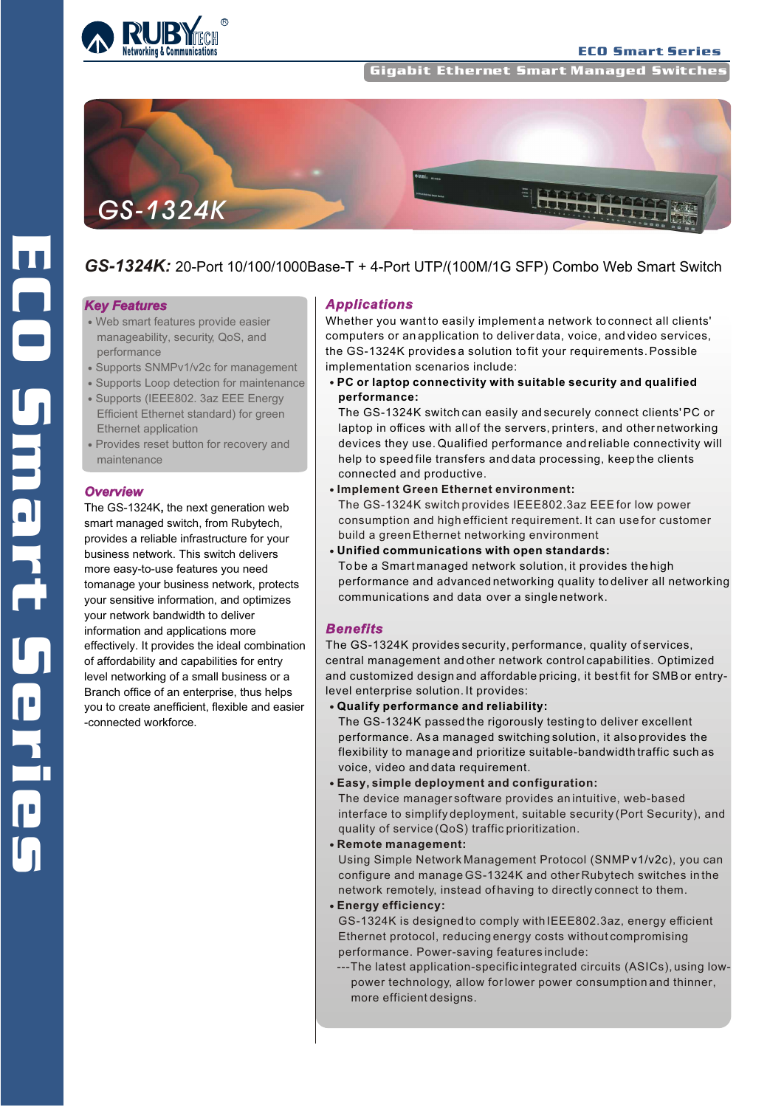

**Gigabit Ethernet Smart Managed Switche** 



# *GS-1324K:* 20-Port 10/100/1000Base-T + 4-Port UTP/(100M/1G SFP) Combo Web Smart Switch

#### *Key Features*

- Web smart features provide easier manageability, security, QoS, and performance
- Supports SNMPv1/v2c for management
- Supports Loop detection for maintenance
- Supports (IEEE802. 3az EEE Energy Efficient Ethernet standard) for green Ethernet application
- Provides reset button for recovery and maintenance

#### *Overview*

The GS-1324K**,** the next generation web smart managed switch, from Rubytech, provides a reliable infrastructure for your business network. This switch delivers more easy-to-use features you need tomanage your business network, protects your sensitive information, and optimizes your network bandwidth to deliver information and applications more effectively. It provides the ideal combination of affordability and capabilities for entry level networking of a small business or a Branch office of an enterprise, thus helps you to create anefficient, flexible and easier -connected workforce.

#### *Applications*

Whether you want to easily implement a network to connect all clients' computers or an application to deliver data, voice, and video services, the GS-1324K provides a solution to fit your requirements. Possible implementation scenarios include:

**PC or laptop connectivity with suitable security and qualified performance:**

The GS-1324K switch can easily and securely connect clients' PC or laptop in offices with all of the servers, printers, and other networking devices they use. Qualified performance and reliable connectivity will help to speed file transfers and data processing, keep the clients connected and productive.

**Implement Green Ethernet environment:** 

The GS-1324K switch provides IEEE802.3az EEE for low power consumption and high efficient requirement. It can use for customer build a green Ethernet networking environment

**Unified communications with open standards:** To be a Smart managed network solution, it provides the high performance and advanced networking quality to deliver all networking communications and data over a single network.

#### *Benefits*

The GS-1324K provides security, performance, quality of services, central management and other network control capabilities. Optimized and customized design and affordable pricing, it best fit for SMB or entrylevel enterprise solution. It provides:

**Qualify performance and reliability:** 

The GS-1324K passed the rigorously testing to deliver excellent performance. As a managed switching solution, it also provides the flexibility to manage and prioritize suitable-bandwidth traffic such as voice, video and data requirement.

**Easy, simple deployment and configuration:** 

The device manager software provides an intuitive, web-based interface to simplify deployment, suitable security (Port Security), and quality of service (QoS) traffic prioritization.

**Remote management:**

 Using Simple Network Management Protocol (SNMPv1/v2c), you can configure and manage GS-1324K and other Rubytech switches in the network remotely, instead of having to directly connect to them.

**Energy efficiency:** 

GS-1324K is designed to comply with IEEE802.3az, energy efficient Ethernet protocol, reducing energy costs without compromising performance. Power-saving features include:

---The latest application-specific integrated circuits (ASICs), using low power technology, allow for lower power consumption and thinner, more efficient designs.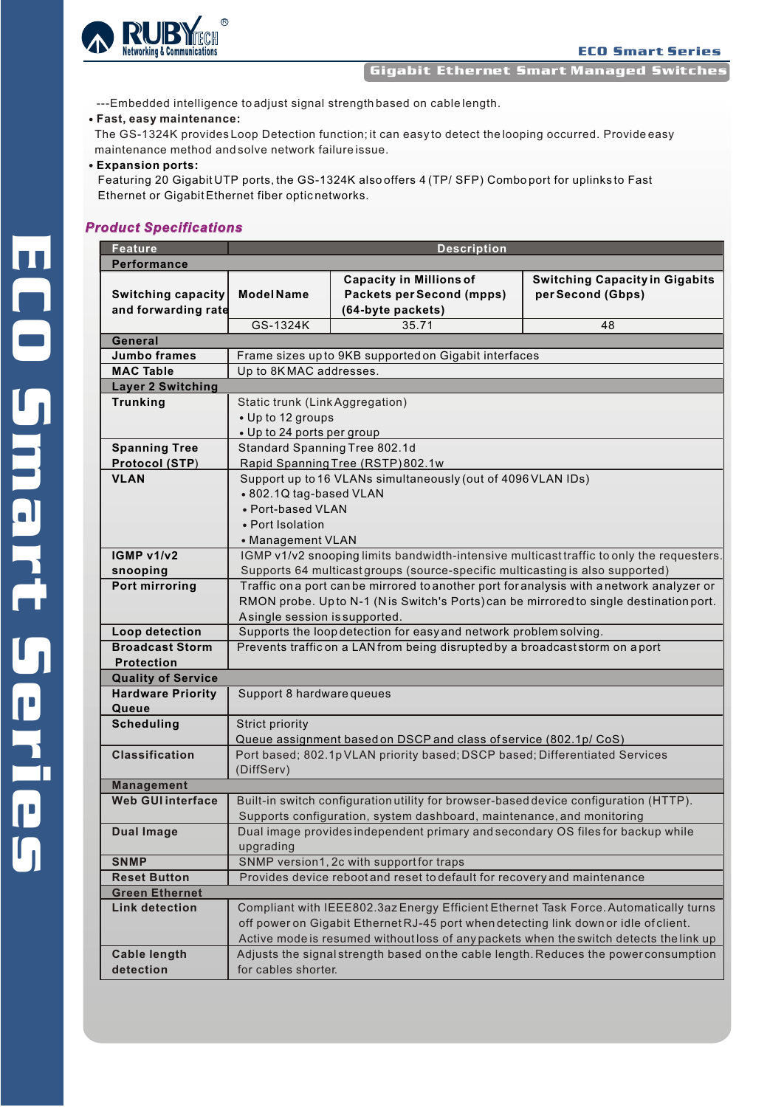

Gigabit Ethernet Smart Managed Switches

---Embedded intelligence to adjust signal strength based on cable length.

## **Fast, easy maintenance:**

The GS-1324K provides Loop Detection function; it can easy to detect the looping occurred. Provide easy maintenance method and solve network failure issue.

#### **Expansion ports:**

Featuring 20 Gigabit UTP ports, the GS-1324K also offers 4 (TP/ SFP) Combo port for uplinks to Fast Ethernet or Gigabit Ethernet fiber optic networks.

### *Product Specifications*

| <b>Feature</b>            | <b>Description</b>                                                                       |                                                                               |                                                                                      |  |  |  |  |  |
|---------------------------|------------------------------------------------------------------------------------------|-------------------------------------------------------------------------------|--------------------------------------------------------------------------------------|--|--|--|--|--|
| Performance               |                                                                                          |                                                                               |                                                                                      |  |  |  |  |  |
|                           |                                                                                          | <b>Capacity in Millions of</b>                                                | <b>Switching Capacity in Gigabits</b>                                                |  |  |  |  |  |
| <b>Switching capacity</b> | <b>Model Name</b>                                                                        | <b>Packets per Second (mpps)</b>                                              | per Second (Gbps)                                                                    |  |  |  |  |  |
| and forwarding rate       |                                                                                          | (64-byte packets)                                                             |                                                                                      |  |  |  |  |  |
|                           | GS-1324K                                                                                 | 35.71                                                                         | 48                                                                                   |  |  |  |  |  |
| General                   |                                                                                          |                                                                               |                                                                                      |  |  |  |  |  |
| <b>Jumbo frames</b>       | Frame sizes up to 9KB supported on Gigabit interfaces                                    |                                                                               |                                                                                      |  |  |  |  |  |
| <b>MAC Table</b>          | Up to 8KMAC addresses.                                                                   |                                                                               |                                                                                      |  |  |  |  |  |
| <b>Layer 2 Switching</b>  |                                                                                          |                                                                               |                                                                                      |  |  |  |  |  |
| <b>Trunking</b>           | Static trunk (Link Aggregation)                                                          |                                                                               |                                                                                      |  |  |  |  |  |
|                           | • Up to 12 groups                                                                        |                                                                               |                                                                                      |  |  |  |  |  |
|                           | • Up to 24 ports per group                                                               |                                                                               |                                                                                      |  |  |  |  |  |
| <b>Spanning Tree</b>      | Standard Spanning Tree 802.1d                                                            |                                                                               |                                                                                      |  |  |  |  |  |
| <b>Protocol (STP)</b>     | Rapid Spanning Tree (RSTP) 802.1w                                                        |                                                                               |                                                                                      |  |  |  |  |  |
| <b>VLAN</b>               | Support up to 16 VLANs simultaneously (out of 4096 VLAN IDs)                             |                                                                               |                                                                                      |  |  |  |  |  |
|                           | • 802.1Q tag-based VLAN                                                                  |                                                                               |                                                                                      |  |  |  |  |  |
|                           | • Port-based VLAN                                                                        |                                                                               |                                                                                      |  |  |  |  |  |
|                           | • Port Isolation                                                                         |                                                                               |                                                                                      |  |  |  |  |  |
|                           | • Management VLAN                                                                        |                                                                               |                                                                                      |  |  |  |  |  |
| IGMP v1/v2                | IGMP v1/v2 snooping limits bandwidth-intensive multicast traffic to only the requesters. |                                                                               |                                                                                      |  |  |  |  |  |
| snooping                  | Supports 64 multicast groups (source-specific multicasting is also supported)            |                                                                               |                                                                                      |  |  |  |  |  |
| Port mirroring            | Traffic on a port can be mirrored to another port for analysis with anetwork analyzer or |                                                                               |                                                                                      |  |  |  |  |  |
|                           | RMON probe. Up to N-1 (Nis Switch's Ports) can be mirrored to single destination port.   |                                                                               |                                                                                      |  |  |  |  |  |
|                           | Asingle session is supported.                                                            |                                                                               |                                                                                      |  |  |  |  |  |
| Loop detection            | Supports the loop detection for easy and network problem solving.                        |                                                                               |                                                                                      |  |  |  |  |  |
| <b>Broadcast Storm</b>    |                                                                                          | Prevents traffic on a LAN from being disrupted by a broadcast storm on a port |                                                                                      |  |  |  |  |  |
| <b>Protection</b>         |                                                                                          |                                                                               |                                                                                      |  |  |  |  |  |
| <b>Quality of Service</b> |                                                                                          |                                                                               |                                                                                      |  |  |  |  |  |
| <b>Hardware Priority</b>  | Support 8 hardware queues                                                                |                                                                               |                                                                                      |  |  |  |  |  |
| Queue                     |                                                                                          |                                                                               |                                                                                      |  |  |  |  |  |
| <b>Scheduling</b>         | Strict priority                                                                          |                                                                               |                                                                                      |  |  |  |  |  |
|                           | Queue assignment based on DSCP and class of service (802.1p/ CoS)                        |                                                                               |                                                                                      |  |  |  |  |  |
| <b>Classification</b>     | Port based; 802.1pVLAN priority based; DSCP based; Differentiated Services               |                                                                               |                                                                                      |  |  |  |  |  |
|                           | (DiffServ)                                                                               |                                                                               |                                                                                      |  |  |  |  |  |
| <b>Management</b>         |                                                                                          |                                                                               |                                                                                      |  |  |  |  |  |
| <b>Web GUI interface</b>  | Built-in switch configuration utility for browser-based device configuration (HTTP).     |                                                                               |                                                                                      |  |  |  |  |  |
|                           |                                                                                          | Supports configuration, system dashboard, maintenance, and monitoring         |                                                                                      |  |  |  |  |  |
| <b>Dual Image</b>         | Dual image provides independent primary and secondary OS files for backup while          |                                                                               |                                                                                      |  |  |  |  |  |
|                           | upgrading                                                                                |                                                                               |                                                                                      |  |  |  |  |  |
| <b>SNMP</b>               |                                                                                          | SNMP version1, 2c with supportfor traps                                       |                                                                                      |  |  |  |  |  |
| <b>Reset Button</b>       |                                                                                          | Provides device rebootand reset to default for recovery and maintenance       |                                                                                      |  |  |  |  |  |
| <b>Green Ethernet</b>     |                                                                                          |                                                                               |                                                                                      |  |  |  |  |  |
| <b>Link detection</b>     |                                                                                          |                                                                               | Compliant with IEEE802.3az Energy Efficient Ethernet Task Force. Automatically turns |  |  |  |  |  |
|                           | off power on Gigabit Ethernet RJ-45 port when detecting link down or idle of client.     |                                                                               |                                                                                      |  |  |  |  |  |
|                           | Active mode is resumed without loss of any packets when the switch detects the link up   |                                                                               |                                                                                      |  |  |  |  |  |
| <b>Cable length</b>       | Adjusts the signal strength based on the cable length. Reduces the power consumption     |                                                                               |                                                                                      |  |  |  |  |  |
| detection                 | for cables shorter.                                                                      |                                                                               |                                                                                      |  |  |  |  |  |